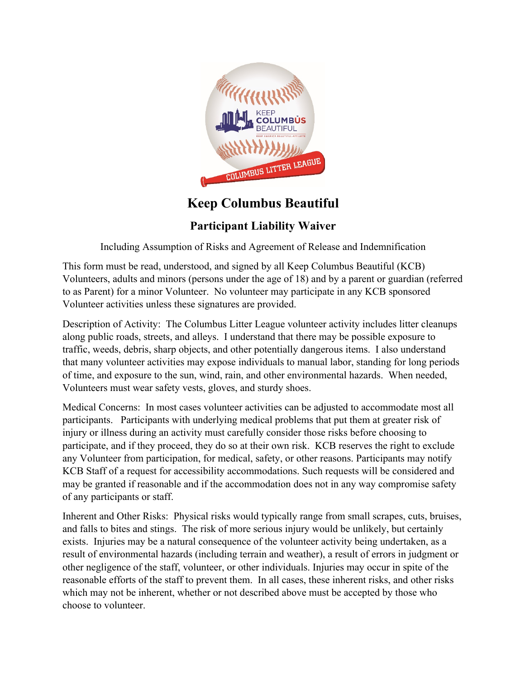

## **Keep Columbus Beautiful**

## **Participant Liability Waiver**

Including Assumption of Risks and Agreement of Release and Indemnification

This form must be read, understood, and signed by all Keep Columbus Beautiful (KCB) Volunteers, adults and minors (persons under the age of 18) and by a parent or guardian (referred to as Parent) for a minor Volunteer. No volunteer may participate in any KCB sponsored Volunteer activities unless these signatures are provided.

Description of Activity: The Columbus Litter League volunteer activity includes litter cleanups along public roads, streets, and alleys. I understand that there may be possible exposure to traffic, weeds, debris, sharp objects, and other potentially dangerous items. I also understand that many volunteer activities may expose individuals to manual labor, standing for long periods of time, and exposure to the sun, wind, rain, and other environmental hazards. When needed, Volunteers must wear safety vests, gloves, and sturdy shoes.

Medical Concerns: In most cases volunteer activities can be adjusted to accommodate most all participants. Participants with underlying medical problems that put them at greater risk of injury or illness during an activity must carefully consider those risks before choosing to participate, and if they proceed, they do so at their own risk. KCB reserves the right to exclude any Volunteer from participation, for medical, safety, or other reasons. Participants may notify KCB Staff of a request for accessibility accommodations. Such requests will be considered and may be granted if reasonable and if the accommodation does not in any way compromise safety of any participants or staff.

Inherent and Other Risks: Physical risks would typically range from small scrapes, cuts, bruises, and falls to bites and stings. The risk of more serious injury would be unlikely, but certainly exists. Injuries may be a natural consequence of the volunteer activity being undertaken, as a result of environmental hazards (including terrain and weather), a result of errors in judgment or other negligence of the staff, volunteer, or other individuals. Injuries may occur in spite of the reasonable efforts of the staff to prevent them. In all cases, these inherent risks, and other risks which may not be inherent, whether or not described above must be accepted by those who choose to volunteer.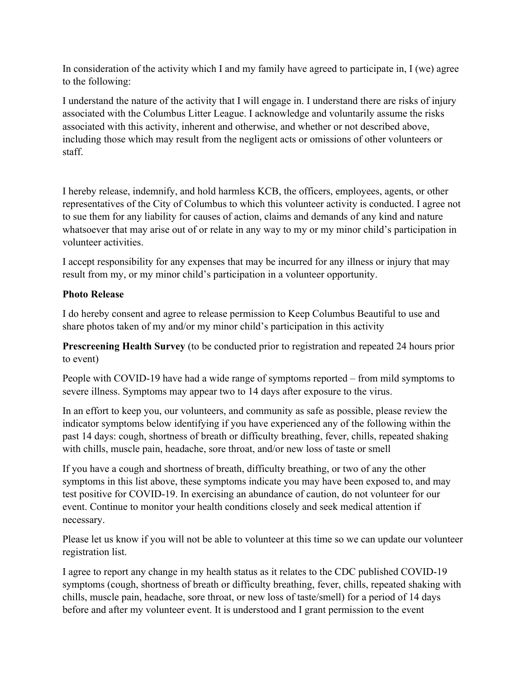In consideration of the activity which I and my family have agreed to participate in, I (we) agree to the following:

I understand the nature of the activity that I will engage in. I understand there are risks of injury associated with the Columbus Litter League. I acknowledge and voluntarily assume the risks associated with this activity, inherent and otherwise, and whether or not described above, including those which may result from the negligent acts or omissions of other volunteers or staff.

I hereby release, indemnify, and hold harmless KCB, the officers, employees, agents, or other representatives of the City of Columbus to which this volunteer activity is conducted. I agree not to sue them for any liability for causes of action, claims and demands of any kind and nature whatsoever that may arise out of or relate in any way to my or my minor child's participation in volunteer activities.

I accept responsibility for any expenses that may be incurred for any illness or injury that may result from my, or my minor child's participation in a volunteer opportunity.

## **Photo Release**

I do hereby consent and agree to release permission to Keep Columbus Beautiful to use and share photos taken of my and/or my minor child's participation in this activity

**Prescreening Health Survey** (to be conducted prior to registration and repeated 24 hours prior to event)

People with COVID-19 have had a wide range of symptoms reported – from mild symptoms to severe illness. Symptoms may appear two to 14 days after exposure to the virus.

In an effort to keep you, our volunteers, and community as safe as possible, please review the indicator symptoms below identifying if you have experienced any of the following within the past 14 days: cough, shortness of breath or difficulty breathing, fever, chills, repeated shaking with chills, muscle pain, headache, sore throat, and/or new loss of taste or smell

If you have a cough and shortness of breath, difficulty breathing, or two of any the other symptoms in this list above, these symptoms indicate you may have been exposed to, and may test positive for COVID-19. In exercising an abundance of caution, do not volunteer for our event. Continue to monitor your health conditions closely and seek medical attention if necessary.

Please let us know if you will not be able to volunteer at this time so we can update our volunteer registration list.

I agree to report any change in my health status as it relates to the CDC published COVID-19 symptoms (cough, shortness of breath or difficulty breathing, fever, chills, repeated shaking with chills, muscle pain, headache, sore throat, or new loss of taste/smell) for a period of 14 days before and after my volunteer event. It is understood and I grant permission to the event